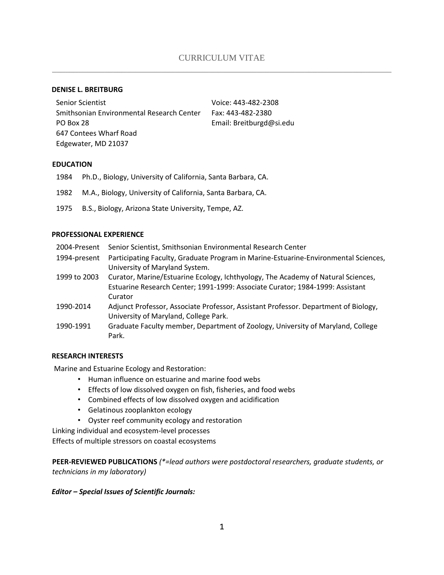#### **DENISE L. BREITBURG**

Senior Scientist Smithsonian Environmental Research Center PO Box 28 647 Contees Wharf Road Edgewater, MD 21037

Voice: 443-482-2308 Fax: 443-482-2380 Email: Breitburgd@si.edu

#### **EDUCATION**

- 1984 Ph.D., Biology, University of California, Santa Barbara, CA.
- 1982 M.A., Biology, University of California, Santa Barbara, CA.
- 1975 B.S., Biology, Arizona State University, Tempe, AZ.

#### **PROFESSIONAL EXPERIENCE**

| 2004-Present | Senior Scientist, Smithsonian Environmental Research Center                         |
|--------------|-------------------------------------------------------------------------------------|
| 1994-present | Participating Faculty, Graduate Program in Marine-Estuarine-Environmental Sciences, |
|              | University of Maryland System.                                                      |
| 1999 to 2003 | Curator, Marine/Estuarine Ecology, Ichthyology, The Academy of Natural Sciences,    |
|              | Estuarine Research Center; 1991-1999: Associate Curator; 1984-1999: Assistant       |
|              | Curator                                                                             |
| 1990-2014    | Adjunct Professor, Associate Professor, Assistant Professor. Department of Biology, |
|              | University of Maryland, College Park.                                               |
| 1990-1991    | Graduate Faculty member, Department of Zoology, University of Maryland, College     |
|              | Park.                                                                               |

### **RESEARCH INTERESTS**

Marine and Estuarine Ecology and Restoration:

- Human influence on estuarine and marine food webs
- Effects of low dissolved oxygen on fish, fisheries, and food webs
- Combined effects of low dissolved oxygen and acidification
- Gelatinous zooplankton ecology
- Oyster reef community ecology and restoration

Linking individual and ecosystem-level processes

Effects of multiple stressors on coastal ecosystems

**PEER-REVIEWED PUBLICATIONS** *(\*=lead authors were postdoctoral researchers, graduate students, or technicians in my laboratory)* 

### *Editor – Special Issues of Scientific Journals:*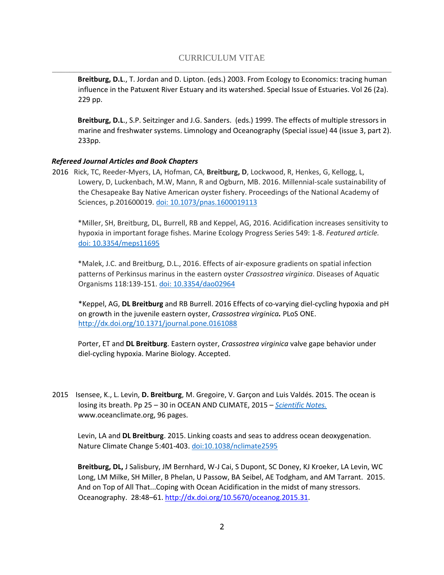**Breitburg, D.L**., T. Jordan and D. Lipton. (eds.) 2003. From Ecology to Economics: tracing human influence in the Patuxent River Estuary and its watershed. Special Issue of Estuaries. Vol 26 (2a). 229 pp.

**Breitburg, D.L**., S.P. Seitzinger and J.G. Sanders. (eds.) 1999. The effects of multiple stressors in marine and freshwater systems. Limnology and Oceanography (Special issue) 44 (issue 3, part 2). 233pp.

### *Refereed Journal Articles and Book Chapters*

2016 Rick, TC, Reeder-Myers, LA, Hofman, CA, **Breitburg, D**, Lockwood, R, Henkes, G, Kellogg, L, Lowery, D, Luckenbach, M.W, Mann, R and Ogburn, MB. 2016. Millennial-scale sustainability of the Chesapeake Bay Native American oyster fishery. Proceedings of the National Academy of Sciences, p.201600019. [doi: 10.1073/pnas.1600019113](http://www.pnas.org/content/113/23/6568.full.pdf)

\*Miller, SH, Breitburg, DL, Burrell, RB and Keppel, AG, 2016. Acidification increases sensitivity to hypoxia in important forage fishes. Marine Ecology Progress Series 549: 1-8. *Featured article.* [doi: 10.3354/meps11695](http://www.int-res.com/articles/feature/m549p001.pdf)

\*Malek, J.C. and Breitburg, D.L., 2016. Effects of air-exposure gradients on spatial infection patterns of Perkinsus marinus in the eastern oyster *Crassostrea virginica*. Diseases of Aquatic Organisms 118:139-151. [doi: 10.3354/dao02964](http://www.int-res.com/articles/dao2016/118/d118p139.pdf)

\*Keppel, AG, **DL Breitburg** and RB Burrell. 2016 Effects of co-varying diel-cycling hypoxia and pH on growth in the juvenile eastern oyster, *Crassostrea virginica.* PLoS ONE. <http://dx.doi.org/10.1371/journal.pone.0161088>

Porter, ET and **DL Breitburg**. Eastern oyster, *Crassostrea virginica* valve gape behavior under diel-cycling hypoxia. Marine Biology. Accepted.

2015 Isensee, K., L. Levin, **D. Breitburg**, M. Gregoire, V. Garçon and Luis Valdés. 2015. The ocean is losing its breath. Pp 25 – 30 in OCEAN AND CLIMATE, 2015 – *[Scientific Notes.](http://www.ocean-climate.org/wp-content/uploads/2015/06/150601_ScientificNotes.pdf?bcsi_scan_2687365ababd2c82=0&bcsi_scan_filename=150601_ScientificNotes.pdf)* www.oceanclimate.org, 96 pages.

Levin, LA and **DL Breitburg**. 2015. Linking coasts and seas to address ocean deoxygenation. Nature Climate Change 5:401-403. [doi:10.1038/nclimate2595](http://www.nature.com/nclimate/journal/v5/n5/full/nclimate2595.html)

**Breitburg, DL,** J Salisbury, JM Bernhard, W-J Cai, S Dupont, SC Doney, KJ Kroeker, LA Levin, WC Long, LM Milke, SH Miller, B Phelan, U Passow, BA Seibel, AE Todgham, and AM Tarrant. 2015. And on Top of All That...Coping with Ocean Acidification in the midst of many stressors. Oceanography. 28:48–61. [http://dx.doi.org/10.5670/oceanog.2015.31.](http://dx.doi.org/10.5670/oceanog.2015.31)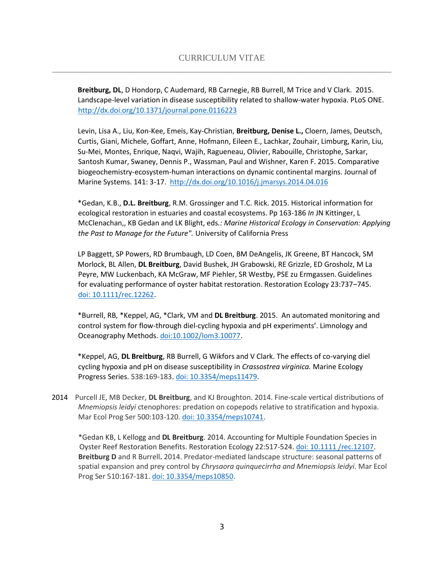**Breitburg, DL**, D Hondorp, C Audemard, RB Carnegie, RB Burrell, M Trice and V Clark. 2015. Landscape-level variation in disease susceptibility related to shallow-water hypoxia. PLoS ONE. <http://dx.doi.org/10.1371/journal.pone.0116223>

Levin, Lisa A., Liu, Kon-Kee, Emeis, Kay-Christian, **Breitburg, Denise L.,** Cloern, James, Deutsch, Curtis, Giani, Michele, Goffart, Anne, Hofmann, Eileen E., Lachkar, Zouhair, Limburg, Karin, Liu, Su-Mei, Montes, Enrique, Naqvi, Wajih, Ragueneau, Olivier, Rabouille, Christophe, Sarkar, Santosh Kumar, Swaney, Dennis P., Wassman, Paul and Wishner, Karen F. 2015. Comparative biogeochemistry-ecosystem-human interactions on dynamic continental margins. Journal of Marine Systems. 141: 3-17[.](http://dx.doi.org/10.1016/j.jmarsys.2014.04.016) <http://dx.doi.org/10.1016/j.jmarsys.2014.04.016>

\*Gedan, K.B., **D.L. Breitburg**, R.M. Grossinger and T.C. Rick. 2015. Historical information for ecological restoration in estuaries and coastal ecosystems. Pp 163-186 *In* JN Kittinger, L McClenachan,, KB Gedan and LK Blight, eds*.: Marine Historical Ecology in Conservation: Applying the Past to Manage for the Future".* University of California Press

LP Baggett, SP Powers, RD Brumbaugh, LD Coen, BM DeAngelis, JK Greene, BT Hancock, SM Morlock, BL Allen, **DL Breitburg**, David Bushek, JH Grabowski, RE Grizzle, ED Grosholz, M La Peyre, MW Luckenbach, KA McGraw, MF Piehler, SR Westby, PSE zu Ermgassen.Guidelines for evaluating performance of oyster habitat restoration. Restoration Ecology 23:737–745. [doi: 10.1111/rec.12262.](http://onlinelibrary.wiley.com/doi/10.1111/rec.12262/epdf)

\*Burrell, RB, \*Keppel, AG, \*Clark, VM and **DL Breitburg**. 2015. An automated monitoring and control system for flow-through diel-cycling hypoxia and pH experiments'. Limnology and Oceanography Methods. [doi:10.1002/lom3.10077.](http://onlinelibrary.wiley.com/doi/10.1002/lom3.10077/epdf)

\*Keppel, AG, **DL Breitburg**, RB Burrell, G Wikfors and V Clark. The effects of co-varying diel cycling hypoxia and pH on disease susceptibility in *Crassostrea virginica.* Marine Ecology Progress Series. 538:169-183. [doi: 10.3354/meps11479.](http://www.int-res.com/articles/meps2015/538/m538p169.pdf)

2014 Purcell JE, MB Decker, **DL Breitburg**, and KJ Broughton. 2014. Fine-scale vertical distributions of *Mnemiopsis leidyi* ctenophores: predation on copepods relative to stratification and hypoxia. Mar Ecol Prog Ser 500:103-120. [doi: 10.3354/meps10741.](http://www.int-res.com/articles/meps2014/500/m500p103.pdf)

\*Gedan KB, L Kellogg and **DL Breitburg**. 2014. Accounting for Multiple Foundation Species in Oyster Reef Restoration Benefits. Restoration Ecology 22:517-524. [doi: 10.1111 /rec.12107.](http://onlinelibrary.wiley.com/doi/10.1111/rec.12107/epdf) **Breitburg D** and R Burrell**.** 2014. Predator-mediated landscape structure: seasonal patterns of spatial expansion and prey control by *Chrysaora quinquecirrha and Mnemiopsis leidyi*. Mar Ecol Prog Ser 510:167-181. [doi: 10.3354/meps10850.](http://www.int-res.com/articles/meps_oa/m510p183.pdf)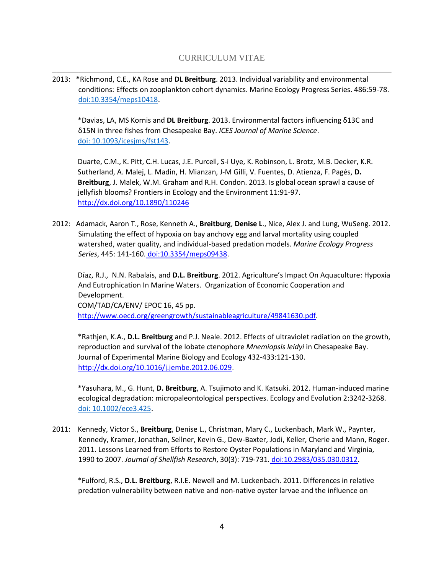2013: **\***Richmond, C.E., KA Rose and **DL Breitburg**. 2013. Individual variability and environmental conditions: Effects on zooplankton cohort dynamics. Marine Ecology Progress Series. 486:59-78. [doi:10.3354/meps10418.](http://www.int-res.com/articles/meps2013/486/m486p059.pdf)

\*Davias, LA, MS Kornis and **DL Breitburg**. 2013. Environmental factors influencing δ13C and δ15N in three fishes from Chesapeake Bay. *ICES Journal of Marine Science*. [doi: 10.1093/icesjms/fst143.](http://icesjms.oxfordjournals.org/content/early/2013/09/04/icesjms.fst143.full.pdf+html)

Duarte, C.M., K. Pitt, C.H. Lucas, J.E. Purcell, S-i Uye, K. Robinson, L. Brotz, M.B. Decker, K.R. Sutherland, A. Malej, L. Madin, H. Mianzan, J-M Gilli, V. Fuentes, D. Atienza, F. Pagés, **D. Breitburg**, J. Malek, W.M. Graham and R.H. Condon. 2013. Is global ocean sprawl a cause of jellyfish blooms? Frontiers in Ecology and the Environment 11:91-97. <http://dx.doi.org/10.1890/110246>

2012: Adamack, Aaron T., Rose, Kenneth A., **Breitburg**, **Denise L**., Nice, Alex J. and Lung, WuSeng. 2012. Simulating the effect of hypoxia on bay anchovy egg and larval mortality using coupled watershed, water quality, and individual-based predation models. *Marine Ecology Progress Series*, 445: 141-160. [doi:10.3354/meps09438.](http://dx.doi.org/10.3354/meps09438) 

Díaz, R.J., N.N. Rabalais, and **D.L. Breitburg**. 2012. Agriculture's Impact On Aquaculture: Hypoxia And Eutrophication In Marine Waters. Organization of Economic Cooperation and Development. COM/TAD/CA/ENV/ EPOC 16, 45 pp. [http://www.oecd.org/greengrowth/sustainableagriculture/49841630.pdf.](http://www.oecd.org/greengrowth/sustainableagriculture/49841630.pdf)

\*Rathjen, K.A., **D.L. Breitburg** and P.J. Neale. 2012. Effects of ultraviolet radiation on the growth, reproduction and survival of the lobate ctenophore *Mnemiopsis leidyi* in Chesapeake Bay. Journal of Experimental Marine Biology and Ecology 432-433:121-130. [http://dx.doi.org/10.1016/j.jembe.2012.06.029.](http://dx.doi.org/10.1016/j.jembe.2012.06.029)

\*Yasuhara, M., G. Hunt, **D. Breitburg**, A. Tsujimoto and K. Katsuki. 2012. Human-induced marine ecological degradation: micropaleontological perspectives. Ecology and Evolution 2:3242-3268. [doi: 10.1002/ece3.425.](http://onlinelibrary.wiley.com/doi/10.1002/ece3.425/epdf)

2011: Kennedy, Victor S., **Breitburg**, Denise L., Christman, Mary C., Luckenbach, Mark W., Paynter, Kennedy, Kramer, Jonathan, Sellner, Kevin G., Dew-Baxter, Jodi, Keller, Cherie and Mann, Roger. 2011. Lessons Learned from Efforts to Restore Oyster Populations in Maryland and Virginia, 1990 to 2007. *Journal of Shellfish Research*, 30(3): 719-731. [doi:10.2983/035.030.0312.](http://dx.doi.org/10.2983/035.030.0312) 

\*Fulford, R.S., **D.L. Breitburg**, R.I.E. Newell and M. Luckenbach. 2011. Differences in relative predation vulnerability between native and non-native oyster larvae and the influence on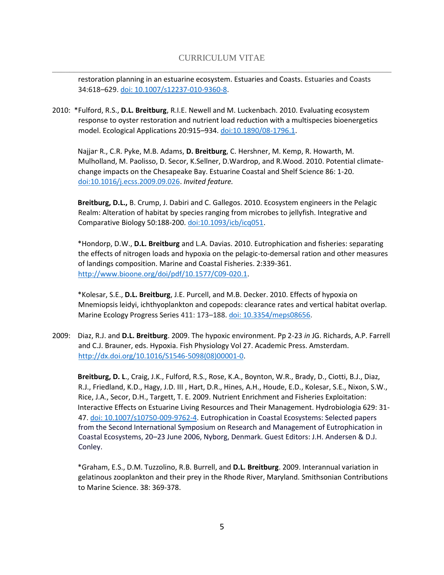restoration planning in an estuarine ecosystem. Estuaries and Coasts. Estuaries and Coasts 34:618–629. [doi: 10.1007/s12237-010-9360-8.](http://link.springer.com/article/10.1007/s12237-010-9360-8)

2010: \*Fulford, R.S., **D.L. Breitburg**, R.I.E. Newell and M. Luckenbach. 2010. Evaluating ecosystem response to oyster restoration and nutrient load reduction with a multispecies bioenergetics model. Ecological Applications 20:915–934. [doi:10.1890/08-1796.1.](http://onlinelibrary.wiley.com/doi/10.1890/08-1796.1/epdf)

Najjar, R., C.R. Pyke, M.B. Adams, **D. Breitburg**, C. Hershner, M. Kemp, R. Howarth, M. Mulholland, M. Paolisso, D. Secor, K.Sellner, D.Wardrop, and R.Wood. 2010. Potential climatechange impacts on the Chesapeake Bay. Estuarine Coastal and Shelf Science 86: 1-20. [doi:10.1016/j.ecss.2009.09.026.](http://www.ocvts.org/classroomconnect/classrooms/jwnek/documents/Oceanography/Global_Change_Chesapeake.pdf) *Invited feature.* 

**Breitburg, D.L.,** B. Crump, J. Dabiri and C. Gallegos. 2010. Ecosystem engineers in the Pelagic Realm: Alteration of habitat by species ranging from microbes to jellyfish. Integrative and Comparative Biology 50:188-200. [doi:10.1093/icb/icq051.](http://icb.oxfordjournals.org/content/50/2/188.full.pdf+html)

\*Hondorp, D.W., **D.L. Breitburg** and L.A. Davias. 2010. Eutrophication and fisheries: separating the effects of nitrogen loads and hypoxia on the pelagic-to-demersal ration and other measures of landings composition. Marine and Coastal Fisheries. 2:339-361. [http://www.bioone.org/doi/pdf/10.1577/C09-020.1.](http://www.bioone.org/doi/pdf/10.1577/C09-020.1)

\*Kolesar, S.E., **D.L. Breitburg**, J.E. Purcell, and M.B. Decker. 2010. Effects of hypoxia on Mnemiopsis leidyi, ichthyoplankton and copepods: clearance rates and vertical habitat overlap. Marine Ecology Progress Series 411: 173–188[. doi: 10.3354/meps08656.](http://www.int-res.com/articles/meps2010/411/m411p173.pdf)

2009:Diaz, R.J. and **D.L. Breitburg**. 2009. The hypoxic environment. Pp 2-23 *in* JG. Richards, A.P. Farrell and C.J. Brauner, eds. Hypoxia. Fish Physiology Vol 27. Academic Press. Amsterdam. [http://dx.doi.org/10.1016/S1546-5098\(08\)00001-0.](http://dx.doi.org/10.1016/S1546-5098(08)00001-0)

**Breitburg, D. L**., Craig, J.K., Fulford, R.S., Rose, K.A., Boynton, W.R., Brady, D., Ciotti, B.J., Diaz, R.J., Friedland, K.D., Hagy, J.D. III , Hart, D.R., Hines, A.H., Houde, E.D., Kolesar, S.E., Nixon, S.W., Rice, J.A., Secor, D.H., Targett, T. E. 2009. Nutrient Enrichment and Fisheries Exploitation: Interactive Effects on Estuarine Living Resources and Their Management. Hydrobiologia 629: 31- 47[. doi: 10.1007/s10750-009-9762-4.](http://link.springer.com/article/10.1007/s10750-009-9762-4) Eutrophication in Coastal Ecosystems: Selected papers from the Second International Symposium on Research and Management of Eutrophication in Coastal Ecosystems, 20–23 June 2006, Nyborg, Denmark. Guest Editors: J.H. Andersen & D.J. Conley.

\*Graham, E.S., D.M. Tuzzolino, R.B. Burrell, and **D.L. Breitburg**. 2009. Interannual variation in gelatinous zooplankton and their prey in the Rhode River, Maryland. Smithsonian Contributions to Marine Science. 38: 369-378.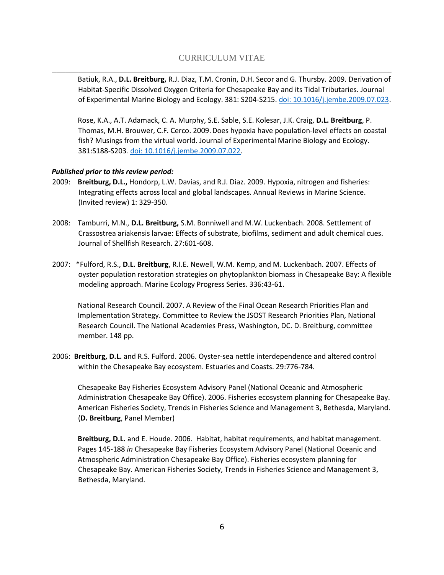Batiuk, R.A., **D.L. Breitburg,** R.J. Diaz, T.M. Cronin, D.H. Secor and G. Thursby. 2009. Derivation of Habitat-Specific Dissolved Oxygen Criteria for Chesapeake Bay and its Tidal Tributaries. Journal of Experimental Marine Biology and Ecology. 381: S204-S215[. doi: 10.1016/j.jembe.2009.07.023.](http://ac.els-cdn.com/S0022098109002925/1-s2.0-S0022098109002925-main.pdf?_tid=85bd11c0-6ad9-11e6-8009-00000aab0f02&acdnat=1472139496_eb3a30cb342520f5bedbeeb77c282ca6)

Rose, K.A., A.T. Adamack, C. A. Murphy, S.E. Sable, S.E. Kolesar, J.K. Craig, **D.L. Breitburg**, P. Thomas, M.H. Brouwer, C.F. Cerco. 2009.Does hypoxia have population-level effects on coastal fish? Musings from the virtual world. Journal of Experimental Marine Biology and Ecology. 381:S188-S203*.* [doi: 10.1016/j.jembe.2009.07.022.](http://ac.els-cdn.com/S0022098109002913/1-s2.0-S0022098109002913-main.pdf?_tid=f88db470-6ad9-11e6-a2c1-00000aab0f02&acdnat=1472139689_183a7a8503b2abc762c05731fe857d6e)

### *Published prior to this review period:*

- 2009: **Breitburg, D.L.,** Hondorp, L.W. Davias, and R.J. Diaz. 2009. Hypoxia, nitrogen and fisheries: Integrating effects across local and global landscapes. Annual Reviews in Marine Science. (Invited review) 1: 329-350.
- 2008: Tamburri, M.N., **D.L. Breitburg,** S.M. Bonniwell and M.W. Luckenbach. 2008. Settlement of Crassostrea ariakensis larvae: Effects of substrate, biofilms, sediment and adult chemical cues. Journal of Shellfish Research. 27:601-608.
- 2007: \*Fulford, R.S., **D.L. Breitburg**, R.I.E. Newell, W.M. Kemp, and M. Luckenbach. 2007. Effects of oyster population restoration strategies on phytoplankton biomass in Chesapeake Bay: A flexible modeling approach. Marine Ecology Progress Series. 336:43-61.

National Research Council. 2007. A Review of the Final Ocean Research Priorities Plan and Implementation Strategy. Committee to Review the JSOST Research Priorities Plan, National Research Council. The National Academies Press, Washington, DC. D. Breitburg, committee member. 148 pp.

2006: **Breitburg, D.L.** and R.S. Fulford. 2006. Oyster-sea nettle interdependence and altered control within the Chesapeake Bay ecosystem. Estuaries and Coasts. 29:776-784*.* 

Chesapeake Bay Fisheries Ecosystem Advisory Panel (National Oceanic and Atmospheric Administration Chesapeake Bay Office). 2006. Fisheries ecosystem planning for Chesapeake Bay. American Fisheries Society, Trends in Fisheries Science and Management 3, Bethesda, Maryland. (**D. Breitburg**, Panel Member)

**Breitburg, D.L.** and E. Houde. 2006. Habitat, habitat requirements, and habitat management. Pages 145-188 *in* Chesapeake Bay Fisheries Ecosystem Advisory Panel (National Oceanic and Atmospheric Administration Chesapeake Bay Office). Fisheries ecosystem planning for Chesapeake Bay. American Fisheries Society, Trends in Fisheries Science and Management 3, Bethesda, Maryland.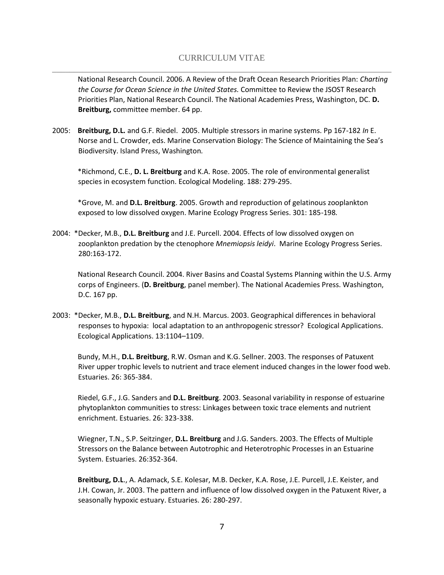# CURRICULUM VITAE \_\_\_\_\_\_\_\_\_\_\_\_\_\_\_\_\_\_\_\_\_\_\_\_\_\_\_\_\_\_\_\_\_\_\_\_\_\_\_\_\_\_\_\_\_\_\_\_\_\_\_\_\_\_\_\_\_\_\_\_\_\_\_\_\_\_\_\_\_\_\_\_\_\_\_\_\_\_

National Research Council. 2006. A Review of the Draft Ocean Research Priorities Plan: *Charting the Course for Ocean Science in the United States.* Committee to Review the JSOST Research Priorities Plan, National Research Council. The National Academies Press, Washington, DC. **D. Breitburg,** committee member. 64 pp.

2005: **Breitburg, D.L.** and G.F. Riedel. 2005. Multiple stressors in marine systems. Pp 167-182 *In* E. Norse and L. Crowder, eds. Marine Conservation Biology: The Science of Maintaining the Sea's Biodiversity. Island Press, Washington*.* 

\*Richmond, C.E., **D. L. Breitburg** and K.A. Rose. 2005. The role of environmental generalist species in ecosystem function. Ecological Modeling. 188: 279-295.

\*Grove, M. and **D.L. Breitburg**. 2005. Growth and reproduction of gelatinous zooplankton exposed to low dissolved oxygen. Marine Ecology Progress Series. 301: 185-198*.* 

2004: \*Decker, M.B., **D.L. Breitburg** and J.E. Purcell. 2004. Effects of low dissolved oxygen on zooplankton predation by the ctenophore *Mnemiopsis leidyi*. Marine Ecology Progress Series. 280:163-172.

National Research Council. 2004. River Basins and Coastal Systems Planning within the U.S. Army corps of Engineers. (**D. Breitburg**, panel member). The National Academies Press. Washington, D.C. 167 pp.

2003: \*Decker, M.B., **D.L. Breitburg**, and N.H. Marcus. 2003. Geographical differences in behavioral responses to hypoxia: local adaptation to an anthropogenic stressor? Ecological Applications. Ecological Applications. 13:1104–1109.

Bundy, M.H., **D.L. Breitburg**, R.W. Osman and K.G. Sellner. 2003. The responses of Patuxent River upper trophic levels to nutrient and trace element induced changes in the lower food web. Estuaries. 26: 365-384.

Riedel, G.F., J.G. Sanders and **D.L. Breitburg**. 2003. Seasonal variability in response of estuarine phytoplankton communities to stress: Linkages between toxic trace elements and nutrient enrichment. Estuaries. 26: 323-338.

Wiegner, T.N., S.P. Seitzinger, **D.L. Breitburg** and J.G. Sanders. 2003. The Effects of Multiple Stressors on the Balance between Autotrophic and Heterotrophic Processes in an Estuarine System. Estuaries. 26:352-364.

**Breitburg, D.L**., A. Adamack, S.E. Kolesar, M.B. Decker, K.A. Rose, J.E. Purcell, J.E. Keister, and J.H. Cowan, Jr. 2003. The pattern and influence of low dissolved oxygen in the Patuxent River, a seasonally hypoxic estuary. Estuaries. 26: 280-297.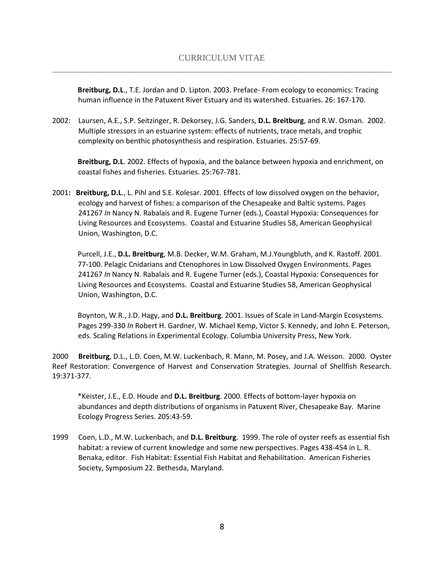**Breitburg, D.L**., T.E. Jordan and D. Lipton. 2003. Preface- From ecology to economics: Tracing human influence in the Patuxent River Estuary and its watershed. Estuaries. 26: 167-170.

2002: Laursen, A.E., S.P. Seitzinger, R. Dekorsey, J.G. Sanders, **D.L. Breitburg**, and R.W. Osman. 2002. Multiple stressors in an estuarine system: effects of nutrients, trace metals, and trophic complexity on benthic photosynthesis and respiration. Estuaries. 25:57-69.

**Breitburg, D.L**. 2002. Effects of hypoxia, and the balance between hypoxia and enrichment, on coastal fishes and fisheries. Estuaries. 25:767-781.

2001**: Breitburg, D.L**., L. Pihl and S.E. Kolesar. 2001. Effects of low dissolved oxygen on the behavior, ecology and harvest of fishes: a comparison of the Chesapeake and Baltic systems. Pages 241267 *In* Nancy N. Rabalais and R. Eugene Turner (eds.), Coastal Hypoxia: Consequences for Living Resources and Ecosystems. Coastal and Estuarine Studies 58, American Geophysical Union, Washington, D.C.

Purcell, J.E., **D.L. Breitburg**, M.B. Decker, W.M. Graham, M.J.Youngbluth, and K. Rastoff. 2001. 77-100. Pelagic Cnidarians and Ctenophores in Low Dissolved Oxygen Environments. Pages 241267 *In* Nancy N. Rabalais and R. Eugene Turner (eds.), Coastal Hypoxia: Consequences for Living Resources and Ecosystems. Coastal and Estuarine Studies 58, American Geophysical Union, Washington, D.C.

Boynton, W.R., J.D. Hagy, and **D.L. Breitburg**. 2001. Issues of Scale in Land-Margin Ecosystems. Pages 299-330 *In* Robert H. Gardner, W. Michael Kemp, Victor S. Kennedy, and John E. Peterson, eds. Scaling Relations in Experimental Ecology. Columbia University Press, New York.

2000 **Breitburg**, D.L., L.D. Coen, M.W. Luckenbach, R. Mann, M. Posey, and J.A. Wesson. 2000. Oyster Reef Restoration: Convergence of Harvest and Conservation Strategies. Journal of Shellfish Research. 19:371-377.

\*Keister, J.E., E.D. Houde and **D.L. Breitburg**. 2000. Effects of bottom-layer hypoxia on abundances and depth distributions of organisms in Patuxent River, Chesapeake Bay. Marine Ecology Progress Series. 205:43-59.

1999 Coen, L.D., M.W. Luckenbach, and **D.L. Breitburg**. 1999. The role of oyster reefs as essential fish habitat: a review of current knowledge and some new perspectives. Pages 438-454 in L. R. Benaka, editor. Fish Habitat: Essential Fish Habitat and Rehabilitation. American Fisheries Society, Symposium 22. Bethesda, Maryland.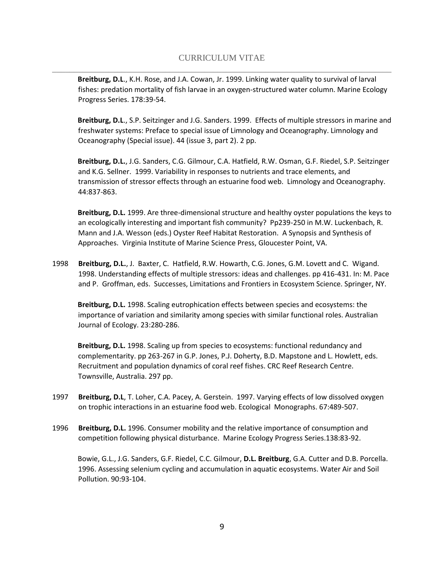**Breitburg, D.L**., K.H. Rose, and J.A. Cowan, Jr. 1999. Linking water quality to survival of larval fishes: predation mortality of fish larvae in an oxygen-structured water column. Marine Ecology Progress Series. 178:39-54.

**Breitburg, D.L**., S.P. Seitzinger and J.G. Sanders. 1999. Effects of multiple stressors in marine and freshwater systems: Preface to special issue of Limnology and Oceanography. Limnology and Oceanography (Special issue). 44 (issue 3, part 2). 2 pp.

**Breitburg, D.L.**, J.G. Sanders, C.G. Gilmour, C.A. Hatfield, R.W. Osman, G.F. Riedel, S.P. Seitzinger and K.G. Sellner. 1999. Variability in responses to nutrients and trace elements, and transmission of stressor effects through an estuarine food web. Limnology and Oceanography. 44:837-863.

**Breitburg, D.L.** 1999. Are three-dimensional structure and healthy oyster populations the keys to an ecologically interesting and important fish community? Pp239-250 in M.W. Luckenbach, R. Mann and J.A. Wesson (eds.) Oyster Reef Habitat Restoration. A Synopsis and Synthesis of Approaches. Virginia Institute of Marine Science Press, Gloucester Point, VA.

1998 **Breitburg, D.L.**, J. Baxter, C. Hatfield, R.W. Howarth, C.G. Jones, G.M. Lovett and C. Wigand. 1998. Understanding effects of multiple stressors: ideas and challenges. pp 416-431. In: M. Pace and P. Groffman, eds. Successes, Limitations and Frontiers in Ecosystem Science. Springer, NY.

**Breitburg, D.L.** 1998. Scaling eutrophication effects between species and ecosystems: the importance of variation and similarity among species with similar functional roles. Australian Journal of Ecology. 23:280-286.

**Breitburg, D.L.** 1998. Scaling up from species to ecosystems: functional redundancy and complementarity. pp 263-267 in G.P. Jones, P.J. Doherty, B.D. Mapstone and L. Howlett, eds. Recruitment and population dynamics of coral reef fishes. CRC Reef Research Centre. Townsville, Australia. 297 pp.

- 1997 **Breitburg, D.L**, T. Loher, C.A. Pacey, A. Gerstein. 1997. Varying effects of low dissolved oxygen on trophic interactions in an estuarine food web. Ecological Monographs. 67:489-507.
- 1996 **Breitburg, D.L.** 1996. Consumer mobility and the relative importance of consumption and competition following physical disturbance. Marine Ecology Progress Series.138:83-92.

Bowie, G.L., J.G. Sanders, G.F. Riedel, C.C. Gilmour, **D.L. Breitburg**, G.A. Cutter and D.B. Porcella. 1996. Assessing selenium cycling and accumulation in aquatic ecosystems. Water Air and Soil Pollution. 90:93-104.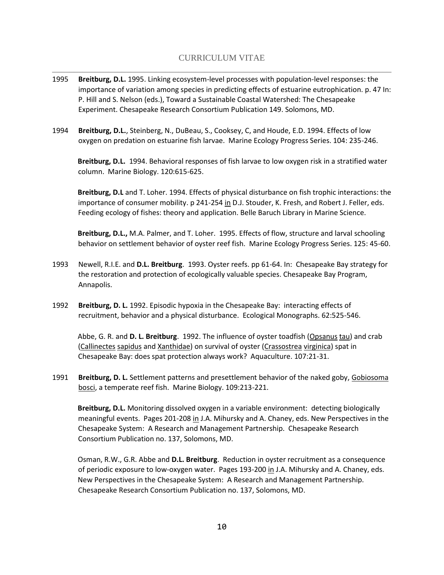# CURRICULUM VITAE \_\_\_\_\_\_\_\_\_\_\_\_\_\_\_\_\_\_\_\_\_\_\_\_\_\_\_\_\_\_\_\_\_\_\_\_\_\_\_\_\_\_\_\_\_\_\_\_\_\_\_\_\_\_\_\_\_\_\_\_\_\_\_\_\_\_\_\_\_\_\_\_\_\_\_\_\_\_

- 1995 **Breitburg, D.L.** 1995. Linking ecosystem-level processes with population-level responses: the importance of variation among species in predicting effects of estuarine eutrophication. p. 47 In: P. Hill and S. Nelson (eds.), Toward a Sustainable Coastal Watershed: The Chesapeake Experiment. Chesapeake Research Consortium Publication 149. Solomons, MD.
- 1994 **Breitburg, D.L.**, Steinberg, N., DuBeau, S., Cooksey, C, and Houde, E.D. 1994. Effects of low oxygen on predation on estuarine fish larvae. Marine Ecology Progress Series. 104: 235-246.

**Breitburg, D.L.** 1994. Behavioral responses of fish larvae to low oxygen risk in a stratified water column. Marine Biology. 120:615-625.

**Breitburg, D.L** and T. Loher. 1994. Effects of physical disturbance on fish trophic interactions: the importance of consumer mobility. p 241-254 in D.J. Stouder, K. Fresh, and Robert J. Feller, eds. Feeding ecology of fishes: theory and application. Belle Baruch Library in Marine Science.

**Breitburg, D.L.,** M.A. Palmer, and T. Loher. 1995. Effects of flow, structure and larval schooling behavior on settlement behavior of oyster reef fish. Marine Ecology Progress Series. 125: 45-60.

- 1993 Newell, R.I.E. and **D.L. Breitburg**. 1993. Oyster reefs. pp 61-64. In: Chesapeake Bay strategy for the restoration and protection of ecologically valuable species. Chesapeake Bay Program, Annapolis.
- 1992 **Breitburg, D. L.** 1992. Episodic hypoxia in the Chesapeake Bay: interacting effects of recruitment, behavior and a physical disturbance. Ecological Monographs. 62:525-546.

Abbe, G. R. and **D. L. Breitburg**. 1992. The influence of oyster toadfish (Opsanus tau) and crab (Callinectes sapidus and Xanthidae) on survival of oyster (Crassostrea virginica) spat in Chesapeake Bay: does spat protection always work? Aquaculture. 107:21-31.

1991 **Breitburg, D. L.** Settlement patterns and presettlement behavior of the naked goby, Gobiosoma bosci, a temperate reef fish. Marine Biology. 109:213-221.

**Breitburg, D.L.** Monitoring dissolved oxygen in a variable environment: detecting biologically meaningful events. Pages 201-208 in J.A. Mihursky and A. Chaney, eds. New Perspectives in the Chesapeake System: A Research and Management Partnership. Chesapeake Research Consortium Publication no. 137, Solomons, MD.

Osman, R.W., G.R. Abbe and **D.L. Breitburg**. Reduction in oyster recruitment as a consequence of periodic exposure to low-oxygen water. Pages 193-200 in J.A. Mihursky and A. Chaney, eds. New Perspectives in the Chesapeake System: A Research and Management Partnership. Chesapeake Research Consortium Publication no. 137, Solomons, MD.